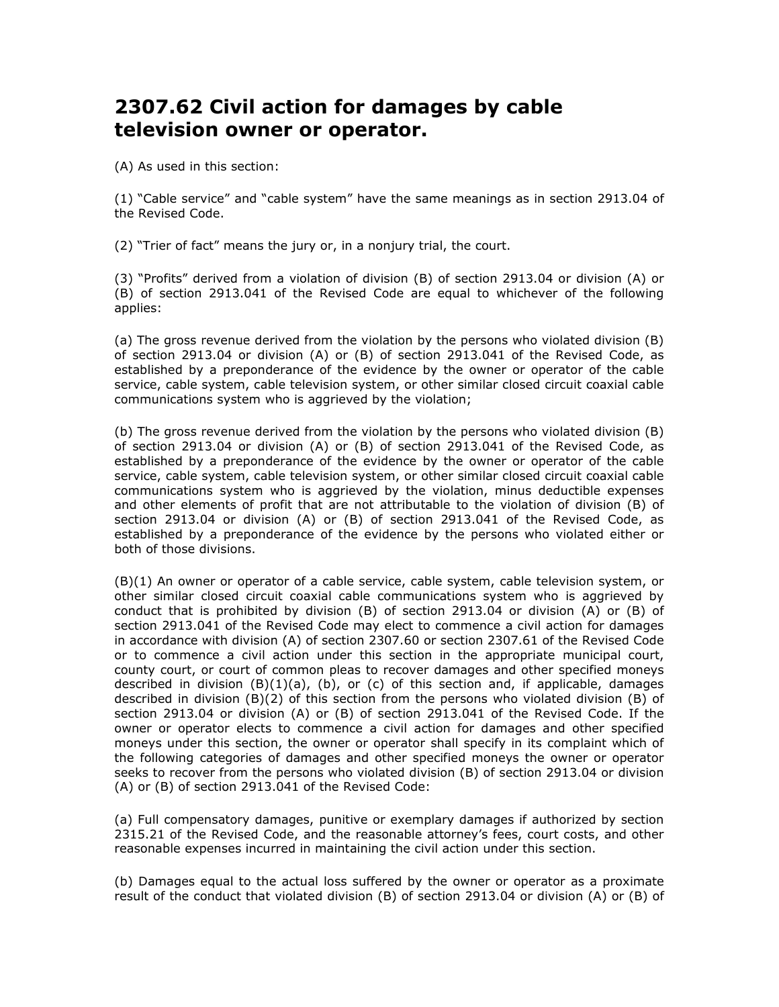## 2307.62 Civil action for damages by cable television owner or operator.

(A) As used in this section:

(1) "Cable service" and "cable system" have the same meanings as in section 2913.04 of the Revised Code.

(2) "Trier of fact" means the jury or, in a nonjury trial, the court.

(3) "Profits" derived from a violation of division (B) of section 2913.04 or division (A) or (B) of section 2913.041 of the Revised Code are equal to whichever of the following applies:

(a) The gross revenue derived from the violation by the persons who violated division (B) of section 2913.04 or division (A) or (B) of section 2913.041 of the Revised Code, as established by a preponderance of the evidence by the owner or operator of the cable service, cable system, cable television system, or other similar closed circuit coaxial cable communications system who is aggrieved by the violation;

(b) The gross revenue derived from the violation by the persons who violated division (B) of section 2913.04 or division (A) or (B) of section 2913.041 of the Revised Code, as established by a preponderance of the evidence by the owner or operator of the cable service, cable system, cable television system, or other similar closed circuit coaxial cable communications system who is aggrieved by the violation, minus deductible expenses and other elements of profit that are not attributable to the violation of division (B) of section 2913.04 or division (A) or (B) of section 2913.041 of the Revised Code, as established by a preponderance of the evidence by the persons who violated either or both of those divisions.

(B)(1) An owner or operator of a cable service, cable system, cable television system, or other similar closed circuit coaxial cable communications system who is aggrieved by conduct that is prohibited by division (B) of section 2913.04 or division (A) or (B) of section 2913.041 of the Revised Code may elect to commence a civil action for damages in accordance with division (A) of section 2307.60 or section 2307.61 of the Revised Code or to commence a civil action under this section in the appropriate municipal court, county court, or court of common pleas to recover damages and other specified moneys described in division  $(B)(1)(a)$ ,  $(b)$ , or  $(c)$  of this section and, if applicable, damages described in division (B)(2) of this section from the persons who violated division (B) of section 2913.04 or division (A) or (B) of section 2913.041 of the Revised Code. If the owner or operator elects to commence a civil action for damages and other specified moneys under this section, the owner or operator shall specify in its complaint which of the following categories of damages and other specified moneys the owner or operator seeks to recover from the persons who violated division (B) of section 2913.04 or division (A) or (B) of section 2913.041 of the Revised Code:

(a) Full compensatory damages, punitive or exemplary damages if authorized by section 2315.21 of the Revised Code, and the reasonable attorney's fees, court costs, and other reasonable expenses incurred in maintaining the civil action under this section.

(b) Damages equal to the actual loss suffered by the owner or operator as a proximate result of the conduct that violated division (B) of section 2913.04 or division (A) or (B) of